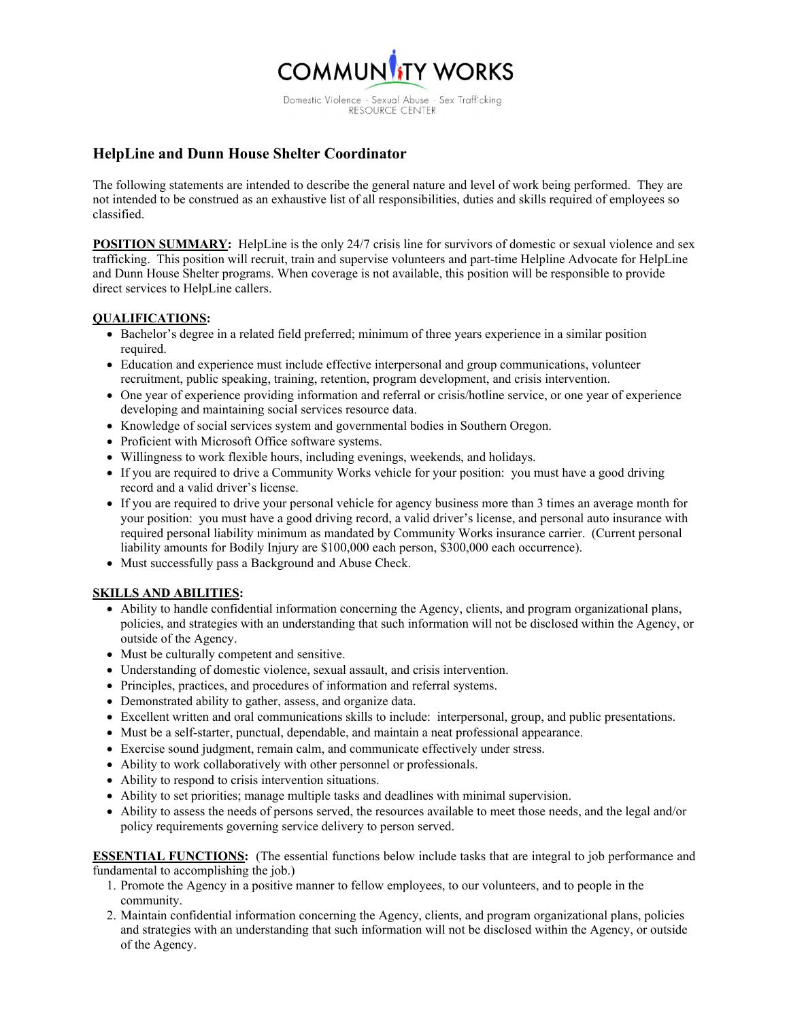

Domestic Violence - Sexual Abuse - Sex Trafficking<br>RESOURCE CENTER

## **HelpLine and Dunn House Shelter Coordinator**

The following statements are intended to describe the general nature and level of work being performed. They are not intended to be construed as an exhaustive list of all responsibilities, duties and skills required of employees so classified.

**POSITION SUMMARY:** HelpLine is the only 24/7 crisis line for survivors of domestic or sexual violence and sex trafficking. This position will recruit, train and supervise volunteers and part-time Helpline Advocate for HelpLine and Dunn House Shelter programs. When coverage is not available, this position will be responsible to provide direct services to HelpLine callers.

## **QUALIFICATIONS:**

- Bachelor's degree in a related field preferred; minimum of three years experience in a similar position required.
- Education and experience must include effective interpersonal and group communications, volunteer recruitment, public speaking, training, retention, program development, and crisis intervention.
- One year of experience providing information and referral or crisis/hotline service, or one year of experience developing and maintaining social services resource data.
- Knowledge of social services system and governmental bodies in Southern Oregon.
- Proficient with Microsoft Office software systems.
- Willingness to work flexible hours, including evenings, weekends, and holidays.
- If you are required to drive a Community Works vehicle for your position: you must have a good driving record and a valid driver's license.
- If you are required to drive your personal vehicle for agency business more than 3 times an average month for your position: you must have a good driving record, a valid driver's license, and personal auto insurance with required personal liability minimum as mandated by Community Works insurance carrier. (Current personal liability amounts for Bodily Injury are \$100,000 each person, \$300,000 each occurrence).
- Must successfully pass a Background and Abuse Check.

## **SKILLS AND ABILITIES:**

- Ability to handle confidential information concerning the Agency, clients, and program organizational plans, policies, and strategies with an understanding that such information will not be disclosed within the Agency, or outside of the Agency.
- Must be culturally competent and sensitive.
- Understanding of domestic violence, sexual assault, and crisis intervention.
- Principles, practices, and procedures of information and referral systems.
- Demonstrated ability to gather, assess, and organize data.
- Excellent written and oral communications skills to include: interpersonal, group, and public presentations.
- Must be a self-starter, punctual, dependable, and maintain a neat professional appearance.
- Exercise sound judgment, remain calm, and communicate effectively under stress.
- Ability to work collaboratively with other personnel or professionals.
- Ability to respond to crisis intervention situations.
- Ability to set priorities; manage multiple tasks and deadlines with minimal supervision.
- Ability to assess the needs of persons served, the resources available to meet those needs, and the legal and/or policy requirements governing service delivery to person served.

**ESSENTIAL FUNCTIONS:** (The essential functions below include tasks that are integral to job performance and fundamental to accomplishing the job.)

- 1. Promote the Agency in a positive manner to fellow employees, to our volunteers, and to people in the community.
- 2. Maintain confidential information concerning the Agency, clients, and program organizational plans, policies and strategies with an understanding that such information will not be disclosed within the Agency, or outside of the Agency.